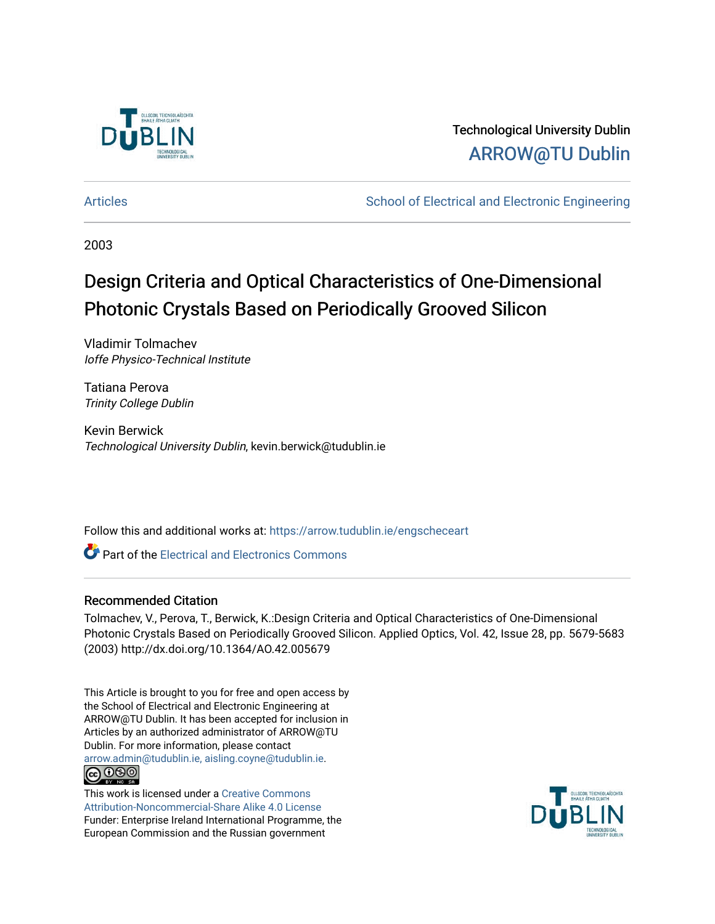

### Technological University Dublin [ARROW@TU Dublin](https://arrow.tudublin.ie/)

[Articles](https://arrow.tudublin.ie/engscheceart) **School of Electrical and Electronic Engineering** School of Electronic Engineering

2003

# Design Criteria and Optical Characteristics of One-Dimensional Photonic Crystals Based on Periodically Grooved Silicon

Vladimir Tolmachev Ioffe Physico-Technical Institute

Tatiana Perova Trinity College Dublin

Kevin Berwick Technological University Dublin, kevin.berwick@tudublin.ie

Follow this and additional works at: [https://arrow.tudublin.ie/engscheceart](https://arrow.tudublin.ie/engscheceart?utm_source=arrow.tudublin.ie%2Fengscheceart%2F131&utm_medium=PDF&utm_campaign=PDFCoverPages)

Part of the [Electrical and Electronics Commons](http://network.bepress.com/hgg/discipline/270?utm_source=arrow.tudublin.ie%2Fengscheceart%2F131&utm_medium=PDF&utm_campaign=PDFCoverPages)

### Recommended Citation

Tolmachev, V., Perova, T., Berwick, K.:Design Criteria and Optical Characteristics of One-Dimensional Photonic Crystals Based on Periodically Grooved Silicon. Applied Optics, Vol. 42, Issue 28, pp. 5679-5683 (2003) http://dx.doi.org/10.1364/AO.42.005679

This Article is brought to you for free and open access by the School of Electrical and Electronic Engineering at ARROW@TU Dublin. It has been accepted for inclusion in Articles by an authorized administrator of ARROW@TU Dublin. For more information, please contact [arrow.admin@tudublin.ie, aisling.coyne@tudublin.ie](mailto:arrow.admin@tudublin.ie,%20aisling.coyne@tudublin.ie). <u>@000</u>

This work is licensed under a [Creative Commons](http://creativecommons.org/licenses/by-nc-sa/4.0/) [Attribution-Noncommercial-Share Alike 4.0 License](http://creativecommons.org/licenses/by-nc-sa/4.0/) Funder: Enterprise Ireland International Programme, the European Commission and the Russian government

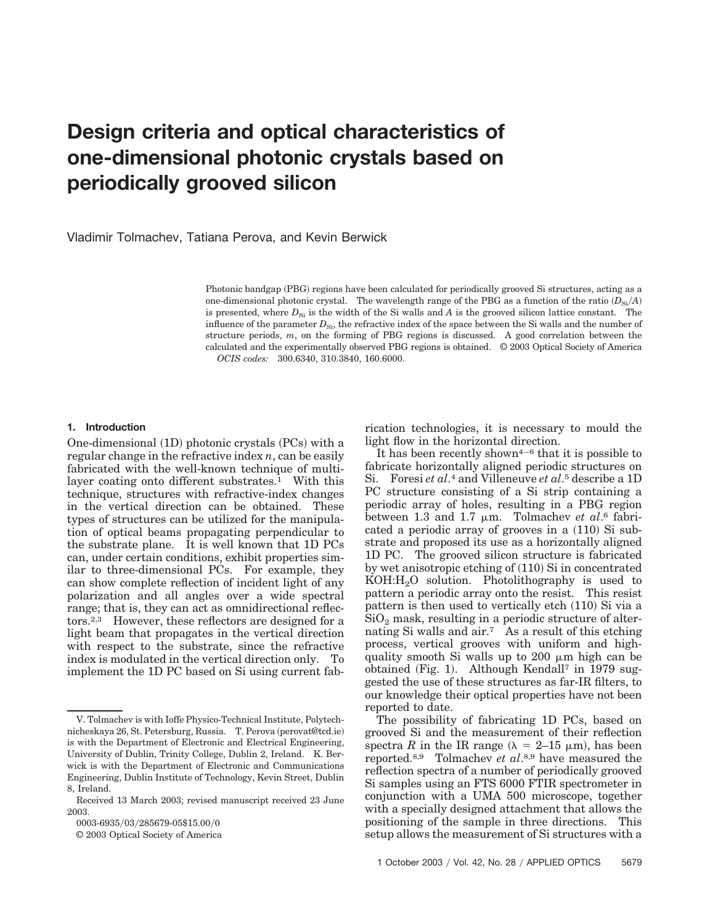## **Design criteria and optical characteristics of one-dimensional photonic crystals based on periodically grooved silicon**

Vladimir Tolmachev, Tatiana Perova, and Kevin Berwick

Photonic bandgap (PBG) regions have been calculated for periodically grooved Si structures, acting as a one-dimensional photonic crystal. The wavelength range of the PBG as a function of the ratio  $(D_{\text{Si}}/A)$ is presented, where  $D_{\rm Si}$  is the width of the Si walls and *A* is the grooved silicon lattice constant. The influence of the parameter  $D_{\rm Si}$ , the refractive index of the space between the Si walls and the number of structure periods, *m*, on the forming of PBG regions is discussed. A good correlation between the calculated and the experimentally observed PBG regions is obtained. © 2003 Optical Society of America *OCIS codes:* 300.6340, 310.3840, 160.6000.

#### **1. Introduction**

One-dimensional (1D) photonic crystals (PCs) with a regular change in the refractive index *n*, can be easily fabricated with the well-known technique of multilayer coating onto different substrates.<sup>1</sup> With this technique, structures with refractive-index changes in the vertical direction can be obtained. These types of structures can be utilized for the manipulation of optical beams propagating perpendicular to the substrate plane. It is well known that 1D PCs can, under certain conditions, exhibit properties similar to three-dimensional PCs. For example, they can show complete reflection of incident light of any polarization and all angles over a wide spectral range; that is, they can act as omnidirectional reflectors.2,3 However, these reflectors are designed for a light beam that propagates in the vertical direction with respect to the substrate, since the refractive index is modulated in the vertical direction only. To implement the 1D PC based on Si using current fab-

0003-6935/03/285679-05\$15.00/0

© 2003 Optical Society of America

rication technologies, it is necessary to mould the light flow in the horizontal direction.

It has been recently shown<sup> $4-6$ </sup> that it is possible to fabricate horizontally aligned periodic structures on Si. Foresi *et al*.4 and Villeneuve *et al*.5 describe a 1D PC structure consisting of a Si strip containing a periodic array of holes, resulting in a PBG region between 1.3 and 1.7  $\mu$ m. Tolmachev *et al.*<sup>6</sup> fabricated a periodic array of grooves in a (110) Si substrate and proposed its use as a horizontally aligned 1D PC. The grooved silicon structure is fabricated by wet anisotropic etching of (110) Si in concentrated  $KOH:H<sub>2</sub>O$  solution. Photolithography is used to pattern a periodic array onto the resist. This resist pattern is then used to vertically etch (110) Si via a  $\mathrm{SiO}_2$  mask, resulting in a periodic structure of alternating Si walls and air.7 As a result of this etching process, vertical grooves with uniform and highquality smooth Si walls up to 200  $\mu$ m high can be obtained (Fig. 1). Although Kendall<sup>7</sup> in 1979 suggested the use of these structures as far-IR filters, to our knowledge their optical properties have not been reported to date.

The possibility of fabricating 1D PCs, based on grooved Si and the measurement of their reflection spectra *R* in the IR range ( $\lambda = 2$ –15  $\mu$ m), has been reported.8,9 Tolmachev *et al*.8,9 have measured the reflection spectra of a number of periodically grooved Si samples using an FTS 6000 FTIR spectrometer in conjunction with a UMA 500 microscope, together with a specially designed attachment that allows the positioning of the sample in three directions. This setup allows the measurement of Si structures with a

V. Tolmachev is with Ioffe Physico-Technical Institute, Polytechnicheskaya 26, St. Petersburg, Russia. T. Perova (perovat@tcd.ie) is with the Department of Electronic and Electrical Engineering, University of Dublin, Trinity College, Dublin 2, Ireland. K. Berwick is with the Department of Electronic and Communications Engineering, Dublin Institute of Technology, Kevin Street, Dublin 8, Ireland.

Received 13 March 2003; revised manuscript received 23 June 2003.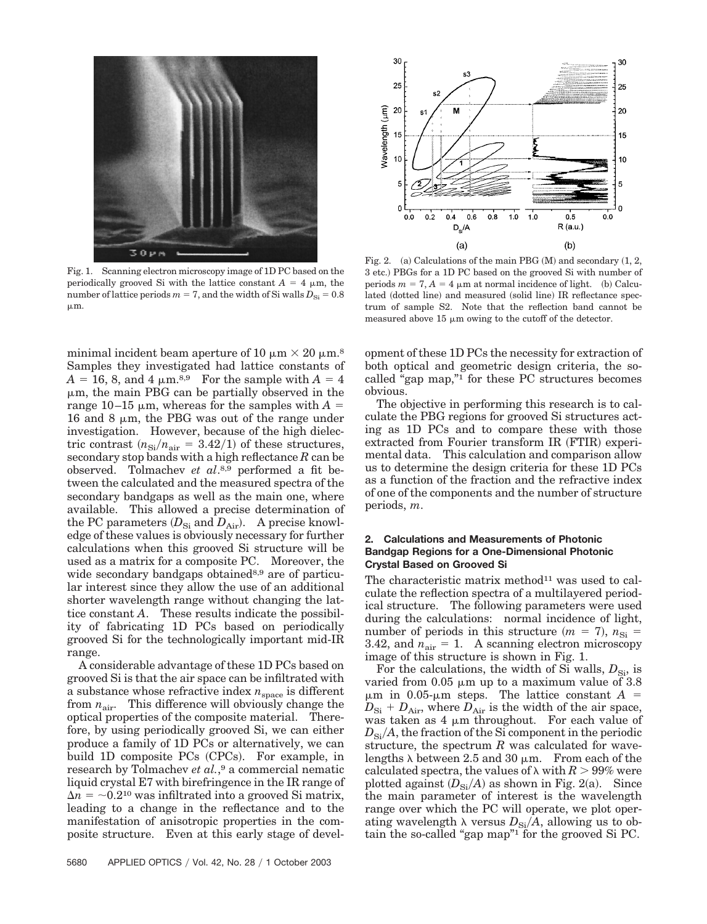

Fig. 1. Scanning electron microscopy image of 1D PC based on the periodically grooved Si with the lattice constant  $A = 4 \mu m$ , the number of lattice periods  $m = 7$ , and the width of Si walls  $D_{\rm Si} = 0.8$  $\mu$ m.

minimal incident beam aperture of 10  $\mu$ m  $\times$  20  $\mu$ m.<sup>8</sup> Samples they investigated had lattice constants of  $A = 16, 8,$  and 4  $\mu$ m.<sup>8,9</sup> For the sample with  $A = 4$  $\mu$ m, the main PBG can be partially observed in the range 10–15  $\mu$ m, whereas for the samples with  $A =$ 16 and 8  $\mu$ m, the PBG was out of the range under investigation. However, because of the high dielectric contrast  $(n_{\rm Si}/n_{\rm air} = 3.42/1)$  of these structures, secondary stop bands with a high reflectance *R* can be observed. Tolmachev *et al*.8,9 performed a fit between the calculated and the measured spectra of the secondary bandgaps as well as the main one, where available. This allowed a precise determination of the PC parameters  $(D_{\rm Si}~{\rm and}~D_{\rm Air})$ . A precise knowledge of these values is obviously necessary for further calculations when this grooved Si structure will be used as a matrix for a composite PC. Moreover, the wide secondary bandgaps obtained<sup>8,9</sup> are of particular interest since they allow the use of an additional shorter wavelength range without changing the lattice constant *A*. These results indicate the possibility of fabricating 1D PCs based on periodically grooved Si for the technologically important mid-IR range.

A considerable advantage of these 1D PCs based on grooved Si is that the air space can be infiltrated with a substance whose refractive index  $n_{\text{space}}$  is different from  $n_{\text{air}}$ . This difference will obviously change the optical properties of the composite material. Therefore, by using periodically grooved Si, we can either produce a family of 1D PCs or alternatively, we can build 1D composite PCs (CPCs). For example, in research by Tolmachev *et al.*,<sup>9</sup> a commercial nematic liquid crystal E7 with birefringence in the IR range of  $\Delta n = 0.2^{10}$  was infiltrated into a grooved Si matrix, leading to a change in the reflectance and to the manifestation of anisotropic properties in the composite structure. Even at this early stage of devel-



Fig. 2. (a) Calculations of the main PBG  $(M)$  and secondary  $(1, 2, 1)$ 3 etc.) PBGs for a 1D PC based on the grooved Si with number of periods  $m = 7, A = 4 \mu m$  at normal incidence of light. (b) Calculated (dotted line) and measured (solid line) IR reflectance spectrum of sample S2. Note that the reflection band cannot be measured above  $15 \mu m$  owing to the cutoff of the detector.

opment of these 1D PCs the necessity for extraction of both optical and geometric design criteria, the socalled "gap map,"1 for these PC structures becomes obvious.

The objective in performing this research is to calculate the PBG regions for grooved Si structures acting as 1D PCs and to compare these with those extracted from Fourier transform IR (FTIR) experimental data. This calculation and comparison allow us to determine the design criteria for these 1D PCs as a function of the fraction and the refractive index of one of the components and the number of structure periods, *m*.

#### **2. Calculations and Measurements of Photonic Bandgap Regions for a One-Dimensional Photonic Crystal Based on Grooved Si**

The characteristic matrix method $11$  was used to calculate the reflection spectra of a multilayered periodical structure. The following parameters were used during the calculations: normal incidence of light, number of periods in this structure  $(m = 7)$ ,  $n_{\rm Si} =$ 3.42, and  $n_{\text{air}} = 1$ . A scanning electron microscopy image of this structure is shown in Fig. 1.

For the calculations, the width of Si walls,  $D_{\rm Si}$ , is varied from 0.05  $\mu$ m up to a maximum value of 3.8  $\mu$ m in 0.05- $\mu$ m steps. The lattice constant *A* =  $D_{\rm Si}$  +  $D_{\rm Air}$ , where  $D_{\rm Air}$  is the width of the air space, was taken as  $4 \mu m$  throughout. For each value of  $D_{\rm Si}/A$ , the fraction of the Si component in the periodic structure, the spectrum *R* was calculated for wavelengths  $\lambda$  between 2.5 and 30  $\mu$ m. From each of the calculated spectra, the values of  $\lambda$  with  $R$   $>$  99% were plotted against  $(D_{\text{Si}}/A)$  as shown in Fig. 2(a). Since the main parameter of interest is the wavelength range over which the PC will operate, we plot operating wavelength  $\lambda$  versus  $D_{\text{Si}}/A$ , allowing us to obtain the so-called "gap map"1 for the grooved Si PC.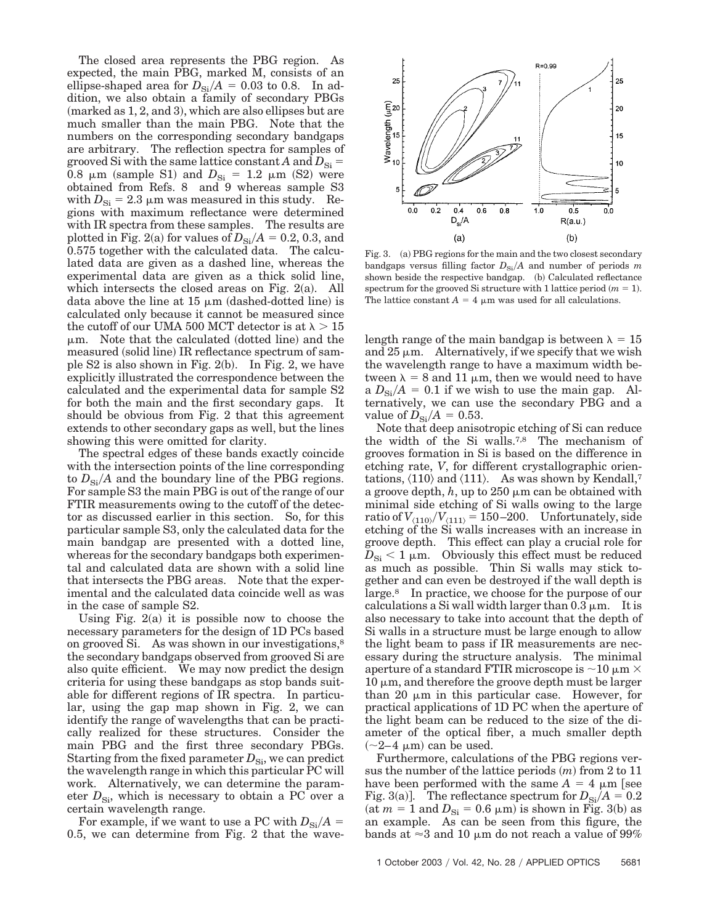The closed area represents the PBG region. As expected, the main PBG, marked M, consists of an ellipse-shaped area for  $D_{\text{Si}}/A = 0.03$  to 0.8. In addition, we also obtain a family of secondary PBGs  $(marked as 1, 2, and 3),$  which are also ellipses but are much smaller than the main PBG. Note that the numbers on the corresponding secondary bandgaps are arbitrary. The reflection spectra for samples of grooved Si with the same lattice constant *A* and  $D_{\text{Si}} =$  $0.8 \mu m$  (sample S1) and  $D_{Si} = 1.2 \mu m$  (S2) were obtained from Refs. 8 and 9 whereas sample S3 with  $D_{\rm Si}$  = 2.3  $\mu$ m was measured in this study. Regions with maximum reflectance were determined with IR spectra from these samples. The results are plotted in Fig. 2(a) for values of  $D_{\rm Si}/A = 0.2, 0.3$ , and 0.575 together with the calculated data. The calculated data are given as a dashed line, whereas the experimental data are given as a thick solid line, which intersects the closed areas on Fig. 2(a). All data above the line at  $15 \mu m$  (dashed-dotted line) is calculated only because it cannot be measured since the cutoff of our UMA 500 MCT detector is at  $\lambda \geq 15$  $\mu$ m. Note that the calculated (dotted line) and the measured (solid line) IR reflectance spectrum of sample S2 is also shown in Fig. 2(b).  $\;$  In Fig. 2, we have explicitly illustrated the correspondence between the calculated and the experimental data for sample S2 for both the main and the first secondary gaps. It should be obvious from Fig. 2 that this agreement extends to other secondary gaps as well, but the lines showing this were omitted for clarity.

The spectral edges of these bands exactly coincide with the intersection points of the line corresponding to  $D_{\rm Si}/A$  and the boundary line of the PBG regions. For sample S3 the main PBG is out of the range of our FTIR measurements owing to the cutoff of the detector as discussed earlier in this section. So, for this particular sample S3, only the calculated data for the main bandgap are presented with a dotted line, whereas for the secondary bandgaps both experimental and calculated data are shown with a solid line that intersects the PBG areas. Note that the experimental and the calculated data coincide well as was in the case of sample S2.

Using Fig.  $2(a)$  it is possible now to choose the necessary parameters for the design of 1D PCs based on grooved Si. As was shown in our investigations,<sup>8</sup> the secondary bandgaps observed from grooved Si are also quite efficient. We may now predict the design criteria for using these bandgaps as stop bands suitable for different regions of IR spectra. In particular, using the gap map shown in Fig. 2, we can identify the range of wavelengths that can be practically realized for these structures. Consider the main PBG and the first three secondary PBGs. Starting from the fixed parameter  $D_{\rm Si}$ , we can predict the wavelength range in which this particular PC will work. Alternatively, we can determine the parameter  $D_{\rm Si}$ , which is necessary to obtain a PC over a certain wavelength range.

For example, if we want to use a PC with  $D_{\text{Si}}/A =$ 0.5, we can determine from Fig. 2 that the wave-



Fig. 3. (a) PBG regions for the main and the two closest secondary bandgaps versus filling factor  $D_{\text{Si}}/A$  and number of periods *m* shown beside the respective bandgap. (b) Calculated reflectance spectrum for the grooved Si structure with 1 lattice period  $(m = 1)$ . The lattice constant  $A = 4 \mu m$  was used for all calculations.

length range of the main bandgap is between  $\lambda = 15$ and  $25 \mu m$ . Alternatively, if we specify that we wish the wavelength range to have a maximum width between  $\lambda = 8$  and 11  $\mu$ m, then we would need to have a  $D_{\text{Si}}/A = 0.1$  if we wish to use the main gap. Alternatively, we can use the secondary PBG and a value of  $D_{\rm Si}/A = 0.53$ .

Note that deep anisotropic etching of Si can reduce the width of the Si walls.7,8 The mechanism of grooves formation in Si is based on the difference in etching rate, *V*, for different crystallographic orientations,  $\langle 110 \rangle$  and  $\langle 111 \rangle$ . As was shown by Kendall,<sup>7</sup> a groove depth,  $h$ , up to 250  $\mu$ m can be obtained with minimal side etching of Si walls owing to the large  $\arctan{V_{\langle 110 \rangle}/V_{\langle 111 \rangle}} = 150{\rm -}200.$  Unfortunately, side etching of the Si walls increases with an increase in groove depth. This effect can play a crucial role for  $D_{\rm Si}$  < 1  $\mu$ m. Obviously this effect must be reduced as much as possible. Thin Si walls may stick together and can even be destroyed if the wall depth is large.8 In practice, we choose for the purpose of our calculations a Si wall width larger than  $0.3 \mu m$ . It is also necessary to take into account that the depth of Si walls in a structure must be large enough to allow the light beam to pass if IR measurements are necessary during the structure analysis. The minimal aperture of a standard FTIR microscope is  $\sim$  10  $\mu$ m  $\times$  $10 \mu m$ , and therefore the groove depth must be larger than 20  $\mu$ m in this particular case. However, for practical applications of 1D PC when the aperture of the light beam can be reduced to the size of the diameter of the optical fiber, a much smaller depth  $(\sim]2-4 \mu m)$  can be used.

Furthermore, calculations of the PBG regions versus the number of the lattice periods  $(m)$  from 2 to 11 have been performed with the same  $A = 4 \mu m$  see Fig. 3(a)]. The reflectance spectrum for  $D_{\rm Si}/A = 0.2$ (at  $m = 1$  and  $D_{\text{Si}} = 0.6 \text{ }\mu\text{m}$ ) is shown in Fig. 3(b) as an example. As can be seen from this figure, the bands at  $\approx$ 3 and 10  $\mu$ m do not reach a value of 99%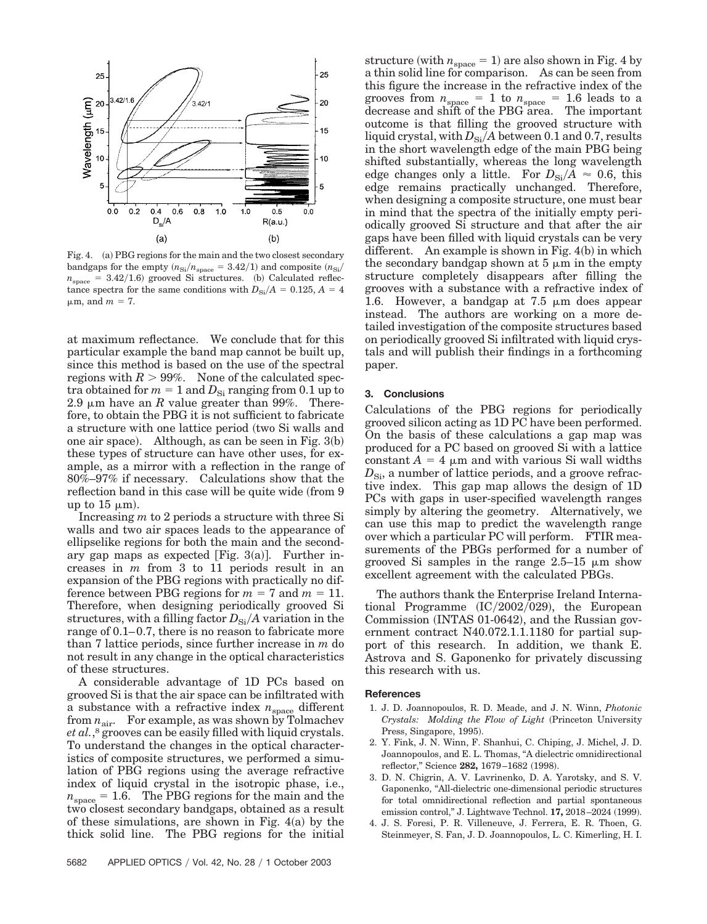

Fig. 4. (a) PBG regions for the main and the two closest secondary bandgaps for the empty  $(n_{\text{Si}}/n_{\text{space}} = 3.42/1)$  and composite  $(n_{\text{Si}}/n_{\text{space}})$  $n_{\text{space}} = 3.42/1.6$  grooved Si structures. (b) Calculated reflectance spectra for the same conditions with  $D_{\text{Si}}/A = 0.125$ ,  $A = 4$  $\mu$ m, and  $m = 7$ .

at maximum reflectance. We conclude that for this particular example the band map cannot be built up, since this method is based on the use of the spectral regions with  $R > 99\%$ . None of the calculated spectra obtained for  $m = 1$  and  $D_{\rm Si}$  ranging from 0.1 up to 2.9  $\mu$ m have an *R* value greater than 99%. Therefore, to obtain the PBG it is not sufficient to fabricate a structure with one lattice period (two Si walls and one air space). Although, as can be seen in Fig. 3(b) these types of structure can have other uses, for example, as a mirror with a reflection in the range of 80%–97% if necessary. Calculations show that the reflection band in this case will be quite wide from 9 up to  $15 \mu m$ ).

Increasing *m* to 2 periods a structure with three Si walls and two air spaces leads to the appearance of ellipselike regions for both the main and the secondary gap maps as expected  $[Fig. 3(a)].$  Further increases in *m* from 3 to 11 periods result in an expansion of the PBG regions with practically no difference between PBG regions for  $m = 7$  and  $m = 11$ . Therefore, when designing periodically grooved Si structures, with a filling factor  $D_{\rm Si}/A$  variation in the range of 0.1–0.7, there is no reason to fabricate more than 7 lattice periods, since further increase in *m* do not result in any change in the optical characteristics of these structures.

A considerable advantage of 1D PCs based on grooved Si is that the air space can be infiltrated with a substance with a refractive index  $n_{\text{space}}$  different from  $n_{\text{air}}$ . For example, as was shown by Tolmachev et al.,<sup>8</sup> grooves can be easily filled with liquid crystals. To understand the changes in the optical characteristics of composite structures, we performed a simulation of PBG regions using the average refractive index of liquid crystal in the isotropic phase, i.e.,  $n_{\text{space}} = 1.6$ . The PBG regions for the main and the two closest secondary bandgaps, obtained as a result of these simulations, are shown in Fig.  $4(a)$  by the thick solid line. The PBG regions for the initial

5682 APPLIED OPTICS / Vol. 42, No. 28 / 1 October 2003

 $\text{structure (with } n_{\text{space}} = 1) \text{ are also shown in Fig. 4 by}$ a thin solid line for comparison. As can be seen from this figure the increase in the refractive index of the grooves from  $n_{\rm space} = 1$  to  $n_{\rm space} = 1.6$  leads to a decrease and shift of the PBG area. The important outcome is that filling the grooved structure with liquid crystal, with  $D_{\rm Si}/A$  between 0.1 and 0.7, results in the short wavelength edge of the main PBG being shifted substantially, whereas the long wavelength edge changes only a little. For  $D_{\text{Si}}/A \approx 0.6$ , this edge remains practically unchanged. Therefore, when designing a composite structure, one must bear in mind that the spectra of the initially empty periodically grooved Si structure and that after the air gaps have been filled with liquid crystals can be very different. An example is shown in Fig.  $4(b)$  in which the secondary bandgap shown at  $5 \mu m$  in the empty structure completely disappears after filling the grooves with a substance with a refractive index of 1.6. However, a bandgap at  $7.5 \mu m$  does appear instead. The authors are working on a more detailed investigation of the composite structures based on periodically grooved Si infiltrated with liquid crystals and will publish their findings in a forthcoming paper.

#### **3. Conclusions**

Calculations of the PBG regions for periodically grooved silicon acting as 1D PC have been performed. On the basis of these calculations a gap map was produced for a PC based on grooved Si with a lattice constant  $A = 4 \mu m$  and with various Si wall widths  $D_{\rm Si}$ , a number of lattice periods, and a groove refractive index. This gap map allows the design of 1D PCs with gaps in user-specified wavelength ranges simply by altering the geometry. Alternatively, we can use this map to predict the wavelength range over which a particular PC will perform. FTIR measurements of the PBGs performed for a number of grooved Si samples in the range  $2.5-15 \mu m$  show excellent agreement with the calculated PBGs.

The authors thank the Enterprise Ireland International Programme  $(IC/2002/029)$ , the European Commission (INTAS 01-0642), and the Russian government contract N40.072.1.1.1180 for partial support of this research. In addition, we thank E. Astrova and S. Gaponenko for privately discussing this research with us.

#### **References**

- 1. J. D. Joannopoulos, R. D. Meade, and J. N. Winn, *Photonic Crystals: Molding the Flow of Light* (Princeton University Press, Singapore, 1995).
- 2. Y. Fink, J. N. Winn, F. Shanhui, C. Chiping, J. Michel, J. D. Joannopoulos, and E. L. Thomas, "A dielectric omnidirectional reflector," Science 282, 1679-1682 (1998).
- 3. D. N. Chigrin, A. V. Lavrinenko, D. A. Yarotsky, and S. V. Gaponenko, "All-dielectric one-dimensional periodic structures for total omnidirectional reflection and partial spontaneous emission control," J. Lightwave Technol. **17,** 2018–2024 (1999).
- 4. J. S. Foresi, P. R. Villeneuve, J. Ferrera, E. R. Thoen, G. Steinmeyer, S. Fan, J. D. Joannopoulos, L. C. Kimerling, H. I.